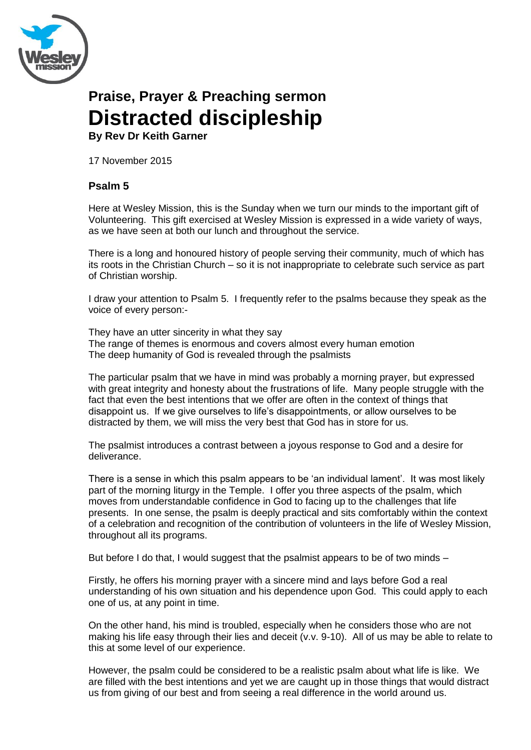

# **Praise, Prayer & Preaching sermon Distracted discipleship**

**By Rev Dr Keith Garner**

17 November 2015

## **Psalm 5**

Here at Wesley Mission, this is the Sunday when we turn our minds to the important gift of Volunteering. This gift exercised at Wesley Mission is expressed in a wide variety of ways, as we have seen at both our lunch and throughout the service.

There is a long and honoured history of people serving their community, much of which has its roots in the Christian Church – so it is not inappropriate to celebrate such service as part of Christian worship.

I draw your attention to Psalm 5. I frequently refer to the psalms because they speak as the voice of every person:-

They have an utter sincerity in what they say The range of themes is enormous and covers almost every human emotion The deep humanity of God is revealed through the psalmists

The particular psalm that we have in mind was probably a morning prayer, but expressed with great integrity and honesty about the frustrations of life. Many people struggle with the fact that even the best intentions that we offer are often in the context of things that disappoint us. If we give ourselves to life's disappointments, or allow ourselves to be distracted by them, we will miss the very best that God has in store for us.

The psalmist introduces a contrast between a joyous response to God and a desire for deliverance.

There is a sense in which this psalm appears to be 'an individual lament'. It was most likely part of the morning liturgy in the Temple. I offer you three aspects of the psalm, which moves from understandable confidence in God to facing up to the challenges that life presents. In one sense, the psalm is deeply practical and sits comfortably within the context of a celebration and recognition of the contribution of volunteers in the life of Wesley Mission, throughout all its programs.

But before I do that, I would suggest that the psalmist appears to be of two minds –

Firstly, he offers his morning prayer with a sincere mind and lays before God a real understanding of his own situation and his dependence upon God. This could apply to each one of us, at any point in time.

On the other hand, his mind is troubled, especially when he considers those who are not making his life easy through their lies and deceit (v.v. 9-10). All of us may be able to relate to this at some level of our experience.

However, the psalm could be considered to be a realistic psalm about what life is like. We are filled with the best intentions and yet we are caught up in those things that would distract us from giving of our best and from seeing a real difference in the world around us.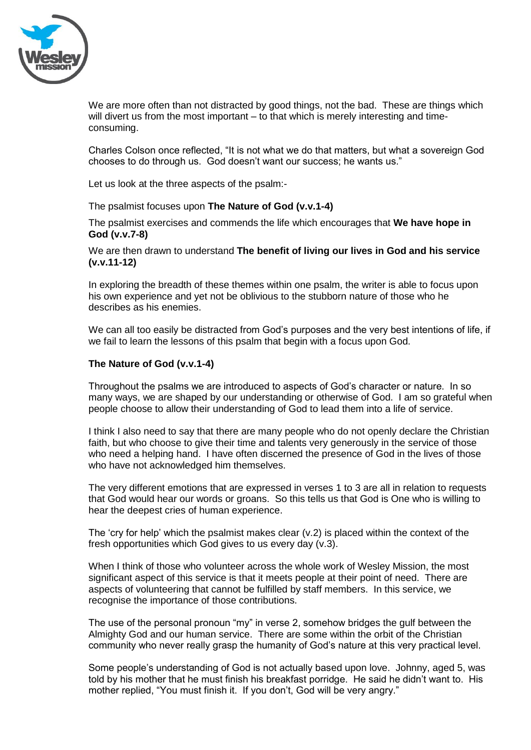

We are more often than not distracted by good things, not the bad. These are things which will divert us from the most important – to that which is merely interesting and timeconsuming.

Charles Colson once reflected, "It is not what we do that matters, but what a sovereign God chooses to do through us. God doesn't want our success; he wants us."

Let us look at the three aspects of the psalm:-

The psalmist focuses upon **The Nature of God (v.v.1-4)**

The psalmist exercises and commends the life which encourages that **We have hope in God (v.v.7-8)**

We are then drawn to understand **The benefit of living our lives in God and his service (v.v.11-12)**

In exploring the breadth of these themes within one psalm, the writer is able to focus upon his own experience and yet not be oblivious to the stubborn nature of those who he describes as his enemies.

We can all too easily be distracted from God's purposes and the very best intentions of life, if we fail to learn the lessons of this psalm that begin with a focus upon God.

#### **The Nature of God (v.v.1-4)**

Throughout the psalms we are introduced to aspects of God's character or nature. In so many ways, we are shaped by our understanding or otherwise of God. I am so grateful when people choose to allow their understanding of God to lead them into a life of service.

I think I also need to say that there are many people who do not openly declare the Christian faith, but who choose to give their time and talents very generously in the service of those who need a helping hand. I have often discerned the presence of God in the lives of those who have not acknowledged him themselves.

The very different emotions that are expressed in verses 1 to 3 are all in relation to requests that God would hear our words or groans. So this tells us that God is One who is willing to hear the deepest cries of human experience.

The 'cry for help' which the psalmist makes clear (v.2) is placed within the context of the fresh opportunities which God gives to us every day (v.3).

When I think of those who volunteer across the whole work of Wesley Mission, the most significant aspect of this service is that it meets people at their point of need. There are aspects of volunteering that cannot be fulfilled by staff members. In this service, we recognise the importance of those contributions.

The use of the personal pronoun "my" in verse 2, somehow bridges the gulf between the Almighty God and our human service. There are some within the orbit of the Christian community who never really grasp the humanity of God's nature at this very practical level.

Some people's understanding of God is not actually based upon love. Johnny, aged 5, was told by his mother that he must finish his breakfast porridge. He said he didn't want to. His mother replied, "You must finish it. If you don't, God will be very angry."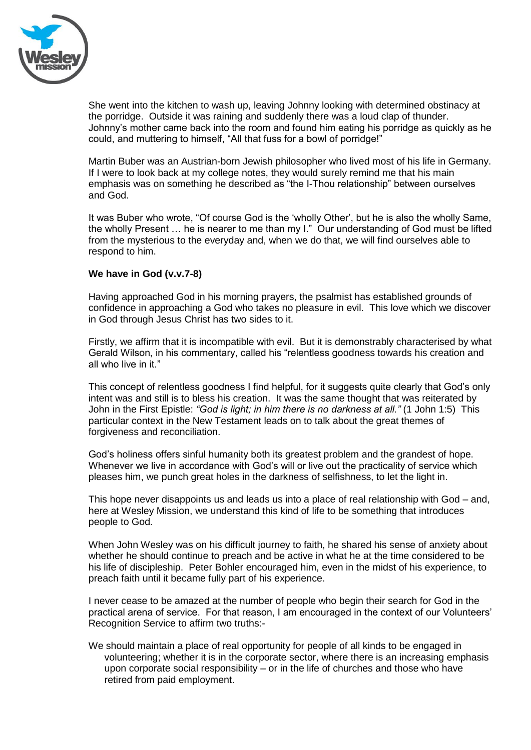

She went into the kitchen to wash up, leaving Johnny looking with determined obstinacy at the porridge. Outside it was raining and suddenly there was a loud clap of thunder. Johnny's mother came back into the room and found him eating his porridge as quickly as he could, and muttering to himself, "All that fuss for a bowl of porridge!"

Martin Buber was an Austrian-born Jewish philosopher who lived most of his life in Germany. If I were to look back at my college notes, they would surely remind me that his main emphasis was on something he described as "the I-Thou relationship" between ourselves and God.

It was Buber who wrote, "Of course God is the 'wholly Other', but he is also the wholly Same, the wholly Present … he is nearer to me than my I." Our understanding of God must be lifted from the mysterious to the everyday and, when we do that, we will find ourselves able to respond to him.

### **We have in God (v.v.7-8)**

Having approached God in his morning prayers, the psalmist has established grounds of confidence in approaching a God who takes no pleasure in evil. This love which we discover in God through Jesus Christ has two sides to it.

Firstly, we affirm that it is incompatible with evil. But it is demonstrably characterised by what Gerald Wilson, in his commentary, called his "relentless goodness towards his creation and all who live in it."

This concept of relentless goodness I find helpful, for it suggests quite clearly that God's only intent was and still is to bless his creation. It was the same thought that was reiterated by John in the First Epistle: *"God is light; in him there is no darkness at all."* (1 John 1:5) This particular context in the New Testament leads on to talk about the great themes of forgiveness and reconciliation.

God's holiness offers sinful humanity both its greatest problem and the grandest of hope. Whenever we live in accordance with God's will or live out the practicality of service which pleases him, we punch great holes in the darkness of selfishness, to let the light in.

This hope never disappoints us and leads us into a place of real relationship with God – and, here at Wesley Mission, we understand this kind of life to be something that introduces people to God.

When John Wesley was on his difficult journey to faith, he shared his sense of anxiety about whether he should continue to preach and be active in what he at the time considered to be his life of discipleship. Peter Bohler encouraged him, even in the midst of his experience, to preach faith until it became fully part of his experience.

I never cease to be amazed at the number of people who begin their search for God in the practical arena of service. For that reason, I am encouraged in the context of our Volunteers' Recognition Service to affirm two truths:-

We should maintain a place of real opportunity for people of all kinds to be engaged in volunteering; whether it is in the corporate sector, where there is an increasing emphasis upon corporate social responsibility – or in the life of churches and those who have retired from paid employment.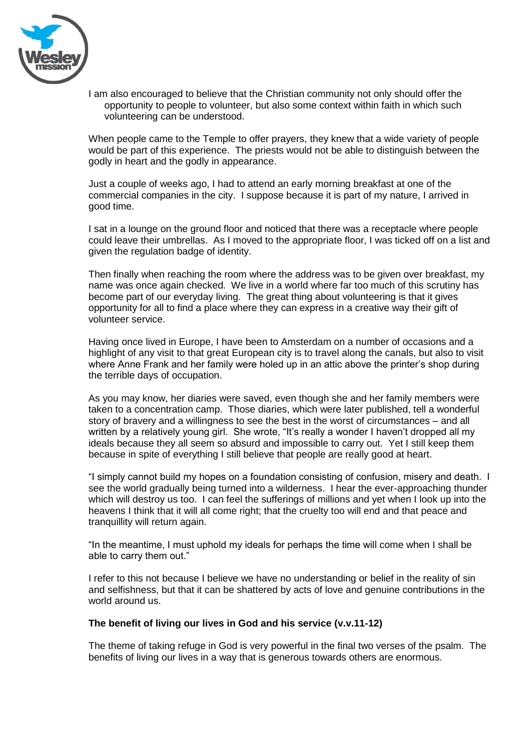

I am also encouraged to believe that the Christian community not only should offer the opportunity to people to volunteer, but also some context within faith in which such volunteering can be understood.

When people came to the Temple to offer prayers, they knew that a wide variety of people would be part of this experience. The priests would not be able to distinguish between the godly in heart and the godly in appearance.

Just a couple of weeks ago, I had to attend an early morning breakfast at one of the commercial companies in the city. I suppose because it is part of my nature, I arrived in good time.

I sat in a lounge on the ground floor and noticed that there was a receptacle where people could leave their umbrellas. As I moved to the appropriate floor, I was ticked off on a list and given the regulation badge of identity.

Then finally when reaching the room where the address was to be given over breakfast, my name was once again checked. We live in a world where far too much of this scrutiny has become part of our everyday living. The great thing about volunteering is that it gives opportunity for all to find a place where they can express in a creative way their gift of volunteer service.

Having once lived in Europe, I have been to Amsterdam on a number of occasions and a highlight of any visit to that great European city is to travel along the canals, but also to visit where Anne Frank and her family were holed up in an attic above the printer's shop during the terrible days of occupation.

As you may know, her diaries were saved, even though she and her family members were taken to a concentration camp. Those diaries, which were later published, tell a wonderful story of bravery and a willingness to see the best in the worst of circumstances – and all written by a relatively young girl. She wrote, "It's really a wonder I haven't dropped all my ideals because they all seem so absurd and impossible to carry out. Yet I still keep them because in spite of everything I still believe that people are really good at heart.

"I simply cannot build my hopes on a foundation consisting of confusion, misery and death. I see the world gradually being turned into a wilderness. I hear the ever-approaching thunder which will destroy us too. I can feel the sufferings of millions and yet when I look up into the heavens I think that it will all come right; that the cruelty too will end and that peace and tranquillity will return again.

"In the meantime, I must uphold my ideals for perhaps the time will come when I shall be able to carry them out."

I refer to this not because I believe we have no understanding or belief in the reality of sin and selfishness, but that it can be shattered by acts of love and genuine contributions in the world around us.

#### **The benefit of living our lives in God and his service (v.v.11-12)**

The theme of taking refuge in God is very powerful in the final two verses of the psalm. The benefits of living our lives in a way that is generous towards others are enormous.